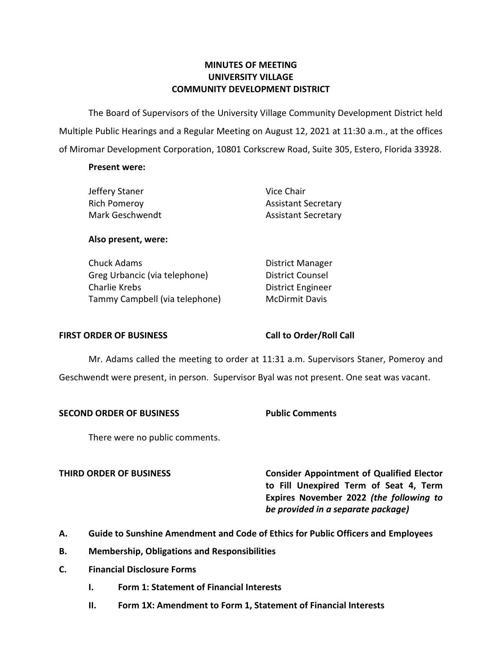# **MINUTES OF MEETING UNIVERSITY VILLAGE COMMUNITY DEVELOPMENT DISTRICT**

 The Board of Supervisors of the University Village Community Development District held Multiple Public Hearings and a Regular Meeting on August 12, 2021 at 11:30 a.m., at the offices of Miromar Development Corporation, 10801 Corkscrew Road, Suite 305, Estero, Florida 33928.

## **Present were:**

| Vice Chair                 |
|----------------------------|
| <b>Assistant Secretary</b> |
| <b>Assistant Secretary</b> |
|                            |

## **Also present, were:**

| Chuck Adams                    | <b>District Manage</b>  |
|--------------------------------|-------------------------|
| Greg Urbancic (via telephone)  | <b>District Counsel</b> |
| Charlie Krebs                  | District Enginee        |
| Tammy Campbell (via telephone) | <b>McDirmit Davis</b>   |

District Manager District Counsel District Engineer

### **FIRST ORDER OF BUSINESS Call to Order/Roll Call**

 Mr. Adams called the meeting to order at 11:31 a.m. Supervisors Staner, Pomeroy and Geschwendt were present, in person. Supervisor Byal was not present. One seat was vacant.

# **SECOND ORDER OF BUSINESS Public Comments**

There were no public comments.

**THIRD ORDER OF BUSINESS Consider Appointment of Qualified Elector to Fill Unexpired Term of Seat 4, Term Expires November 2022** *(the following to be provided in a separate package)* 

- **A. Guide to Sunshine Amendment and Code of Ethics for Public Officers and Employees**
- **B. Membership, Obligations and Responsibilities**
- **C. Financial Disclosure Forms** 
	- **I. Form 1: Statement of Financial Interests**
	- **II. Form 1X: Amendment to Form 1, Statement of Financial Interests**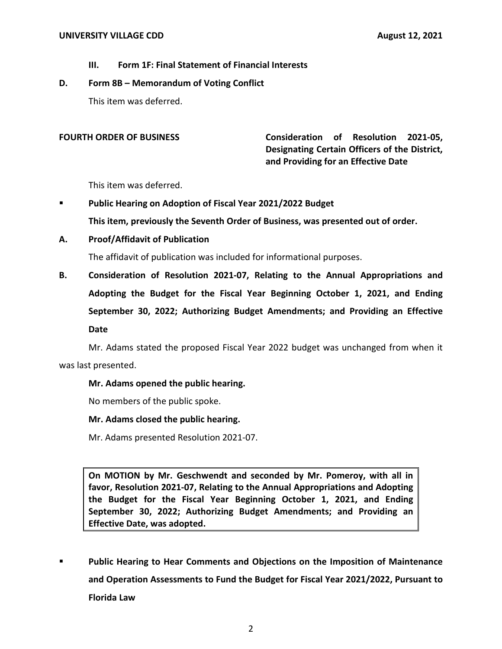**III. Form 1F: Final Statement of Financial Interests** 

# **D. Form 8B – Memorandum of Voting Conflict**

This item was deferred.

 **and Providing for an Effective Date FOURTH ORDER OF BUSINESS Consideration of Resolution 2021-05, Designating Certain Officers of the District,** 

This item was deferred.

▪ **Public Hearing on Adoption of Fiscal Year 2021/2022 Budget** 

**This item, previously the Seventh Order of Business, was presented out of order.** 

**A. Proof/Affidavit of Publication** 

The affidavit of publication was included for informational purposes.

**B. Consideration of Resolution 2021-07, Relating to the Annual Appropriations and Adopting the Budget for the Fiscal Year Beginning October 1, 2021, and Ending September 30, 2022; Authorizing Budget Amendments; and Providing an Effective Date** 

Mr. Adams stated the proposed Fiscal Year 2022 budget was unchanged from when it was last presented.

**Mr. Adams opened the public hearing.** 

No members of the public spoke.

### **Mr. Adams closed the public hearing.**

Mr. Adams presented Resolution 2021-07.

 **On MOTION by Mr. Geschwendt and seconded by Mr. Pomeroy, with all in favor, Resolution 2021-07, Relating to the Annual Appropriations and Adopting the Budget for the Fiscal Year Beginning October 1, 2021, and Ending September 30, 2022; Authorizing Budget Amendments; and Providing an Effective Date, was adopted.** 

**Public Hearing to Hear Comments and Objections on the Imposition of Maintenance and Operation Assessments to Fund the Budget for Fiscal Year 2021/2022, Pursuant to Florida Law**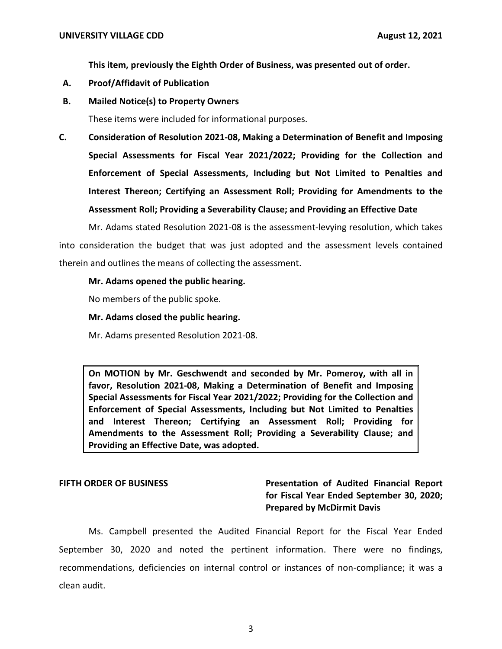**This item, previously the Eighth Order of Business, was presented out of order.** 

- **A. Proof/Affidavit of Publication**
- **B. Mailed Notice(s) to Property Owners**

These items were included for informational purposes.

**C. Consideration of Resolution 2021-08, Making a Determination of Benefit and Imposing Special Assessments for Fiscal Year 2021/2022; Providing for the Collection and Enforcement of Special Assessments, Including but Not Limited to Penalties and Interest Thereon; Certifying an Assessment Roll; Providing for Amendments to the Assessment Roll; Providing a Severability Clause; and Providing an Effective Date** 

Mr. Adams stated Resolution 2021-08 is the assessment-levying resolution, which takes into consideration the budget that was just adopted and the assessment levels contained therein and outlines the means of collecting the assessment.

## **Mr. Adams opened the public hearing.**

No members of the public spoke.

## **Mr. Adams closed the public hearing.**

Mr. Adams presented Resolution 2021-08.

 **On MOTION by Mr. Geschwendt and seconded by Mr. Pomeroy, with all in favor, Resolution 2021-08, Making a Determination of Benefit and Imposing Special Assessments for Fiscal Year 2021/2022; Providing for the Collection and Enforcement of Special Assessments, Including but Not Limited to Penalties and Interest Thereon; Certifying an Assessment Roll; Providing for Amendments to the Assessment Roll; Providing a Severability Clause; and Providing an Effective Date, was adopted.** 

**FIFTH ORDER OF BUSINESS Presentation of Audited Financial Report for Fiscal Year Ended September 30, 2020; Prepared by McDirmit Davis** 

 Ms. Campbell presented the Audited Financial Report for the Fiscal Year Ended September 30, 2020 and noted the pertinent information. There were no findings, recommendations, deficiencies on internal control or instances of non-compliance; it was a clean audit.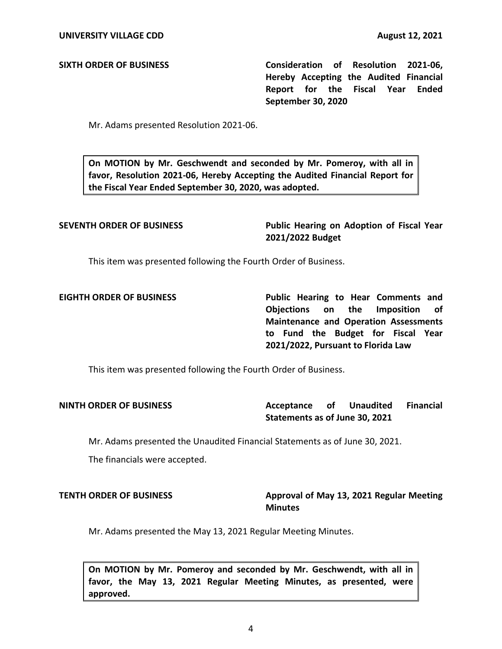**SIXTH ORDER OF BUSINESS Consideration of Resolution 2021-06, Hereby Accepting the Audited Financial Report for the Fiscal Year Ended September 30, 2020** 

Mr. Adams presented Resolution 2021-06.

 **On MOTION by Mr. Geschwendt and seconded by Mr. Pomeroy, with all in favor, Resolution 2021-06, Hereby Accepting the Audited Financial Report for the Fiscal Year Ended September 30, 2020, was adopted.** 

**SEVENTH ORDER OF BUSINESS Public Hearing on Adoption of Fiscal Year 2021/2022 Budget** 

This item was presented following the Fourth Order of Business.

**EIGHTH ORDER OF BUSINESS Public Hearing to Hear Comments and Objections on the Imposition of Maintenance and Operation Assessments to Fund the Budget for Fiscal Year 2021/2022, Pursuant to Florida Law** 

This item was presented following the Fourth Order of Business.

Acceptance of  **Statements as of June 30, 2021 NINTH ORDER OF BUSINESS Acceptance of Unaudited Financial** 

Mr. Adams presented the Unaudited Financial Statements as of June 30, 2021.

The financials were accepted.

# **TENTH ORDER OF BUSINESS** Approval of May 13, 2021 Regular Meeting **Minutes**

Mr. Adams presented the May 13, 2021 Regular Meeting Minutes.

 **On MOTION by Mr. Pomeroy and seconded by Mr. Geschwendt, with all in favor, the May 13, 2021 Regular Meeting Minutes, as presented, were approved.**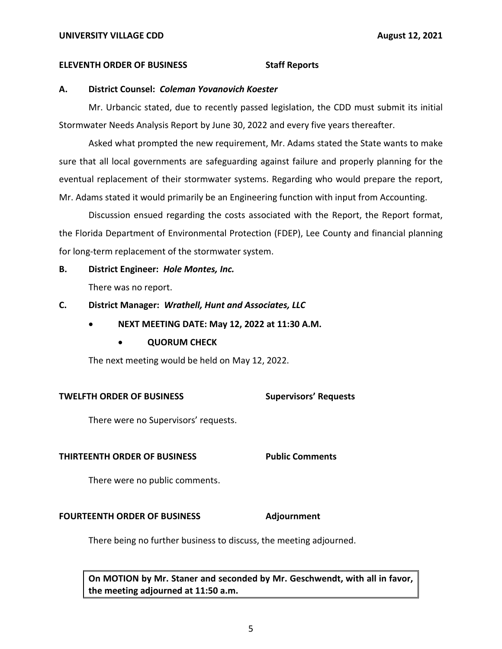### **ELEVENTH ORDER OF BUSINESS STATES STAFF REPORTS**

# **A. District Counsel:** *Coleman Yovanovich Koester*

Mr. Urbancic stated, due to recently passed legislation, the CDD must submit its initial Stormwater Needs Analysis Report by June 30, 2022 and every five years thereafter.

Asked what prompted the new requirement, Mr. Adams stated the State wants to make sure that all local governments are safeguarding against failure and properly planning for the eventual replacement of their stormwater systems. Regarding who would prepare the report, Mr. Adams stated it would primarily be an Engineering function with input from Accounting.

Discussion ensued regarding the costs associated with the Report, the Report format, the Florida Department of Environmental Protection (FDEP), Lee County and financial planning for long-term replacement of the stormwater system.

## **B. District Engineer:** *Hole Montes, Inc.*

There was no report.

## **C. District Manager:** *Wrathell, Hunt and Associates, LLC*

- **NEXT MEETING DATE: May 12, 2022 at 11:30 A.M.** 
	- **QUORUM CHECK**

The next meeting would be held on May 12, 2022.

### **TWELFTH ORDER OF BUSINESS** Supervisors' Requests

There were no Supervisors' requests.

### **THIRTEENTH ORDER OF BUSINESS Public Comments**

There were no public comments.

# **FOURTEENTH ORDER OF BUSINESS Adjournment**

There being no further business to discuss, the meeting adjourned.

 **On MOTION by Mr. Staner and seconded by Mr. Geschwendt, with all in favor, the meeting adjourned at 11:50 a.m.**